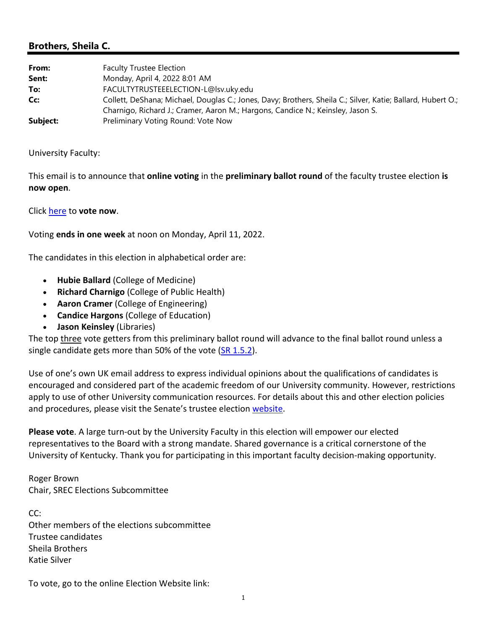## **Brothers, Sheila C.**

| From:    | <b>Faculty Trustee Election</b>                                                                             |
|----------|-------------------------------------------------------------------------------------------------------------|
| Sent:    | Monday, April 4, 2022 8:01 AM                                                                               |
| To:      | FACULTYTRUSTEEELECTION-L@lsv.uky.edu                                                                        |
| Cc:      | Collett, DeShana; Michael, Douglas C.; Jones, Davy; Brothers, Sheila C.; Silver, Katie; Ballard, Hubert O.; |
|          | Charnigo, Richard J.; Cramer, Aaron M.; Hargons, Candice N.; Keinsley, Jason S.                             |
| Subject: | Preliminary Voting Round: Vote Now                                                                          |

University Faculty:

This email is to announce that **online voting** in the **preliminary ballot round** of the faculty trustee election **is now open**.

Click here to **vote now**.

Voting **ends in one week** at noon on Monday, April 11, 2022.

The candidates in this election in alphabetical order are:

- **Hubie Ballard** (College of Medicine)
- **Richard Charnigo** (College of Public Health)
- **Aaron Cramer** (College of Engineering)
- **Candice Hargons** (College of Education)
- **Jason Keinsley** (Libraries)

The top three vote getters from this preliminary ballot round will advance to the final ballot round unless a single candidate gets more than 50% of the vote  $(SR 1.5.2)$ .

Use of one's own UK email address to express individual opinions about the qualifications of candidates is encouraged and considered part of the academic freedom of our University community. However, restrictions apply to use of other University communication resources. For details about this and other election policies and procedures, please visit the Senate's trustee election website.

**Please vote**. A large turn‐out by the University Faculty in this election will empower our elected representatives to the Board with a strong mandate. Shared governance is a critical cornerstone of the University of Kentucky. Thank you for participating in this important faculty decision‐making opportunity.

Roger Brown Chair, SREC Elections Subcommittee

CC: Other members of the elections subcommittee Trustee candidates Sheila Brothers Katie Silver

To vote, go to the online Election Website link: